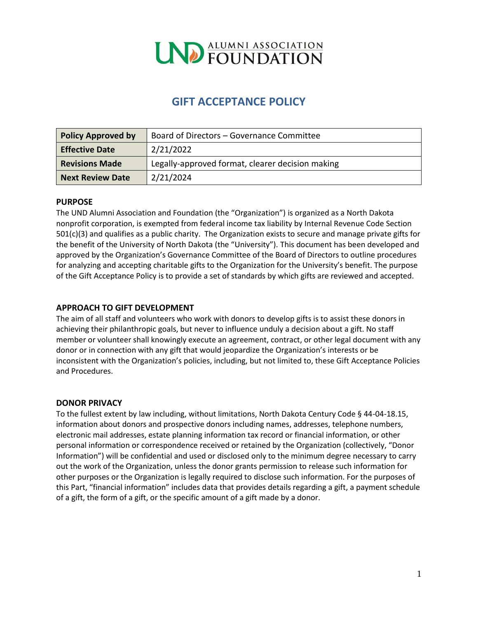

# **GIFT ACCEPTANCE POLICY**

| <b>Policy Approved by</b> | Board of Directors - Governance Committee        |
|---------------------------|--------------------------------------------------|
| <b>Effective Date</b>     | 2/21/2022                                        |
| <b>Revisions Made</b>     | Legally-approved format, clearer decision making |
| <b>Next Review Date</b>   | 2/21/2024                                        |

#### **PURPOSE**

The UND Alumni Association and Foundation (the "Organization") is organized as a North Dakota nonprofit corporation, is exempted from federal income tax liability by Internal Revenue Code Section 501(c)(3) and qualifies as a public charity. The Organization exists to secure and manage private gifts for the benefit of the University of North Dakota (the "University"). This document has been developed and approved by the Organization's Governance Committee of the Board of Directors to outline procedures for analyzing and accepting charitable gifts to the Organization for the University's benefit. The purpose of the Gift Acceptance Policy is to provide a set of standards by which gifts are reviewed and accepted.

#### **APPROACH TO GIFT DEVELOPMENT**

The aim of all staff and volunteers who work with donors to develop gifts is to assist these donors in achieving their philanthropic goals, but never to influence unduly a decision about a gift. No staff member or volunteer shall knowingly execute an agreement, contract, or other legal document with any donor or in connection with any gift that would jeopardize the Organization's interests or be inconsistent with the Organization's policies, including, but not limited to, these Gift Acceptance Policies and Procedures.

#### **DONOR PRIVACY**

To the fullest extent by law including, without limitations, North Dakota Century Code § 44-04-18.15, information about donors and prospective donors including names, addresses, telephone numbers, electronic mail addresses, estate planning information tax record or financial information, or other personal information or correspondence received or retained by the Organization (collectively, "Donor Information") will be confidential and used or disclosed only to the minimum degree necessary to carry out the work of the Organization, unless the donor grants permission to release such information for other purposes or the Organization is legally required to disclose such information. For the purposes of this Part, "financial information" includes data that provides details regarding a gift, a payment schedule of a gift, the form of a gift, or the specific amount of a gift made by a donor.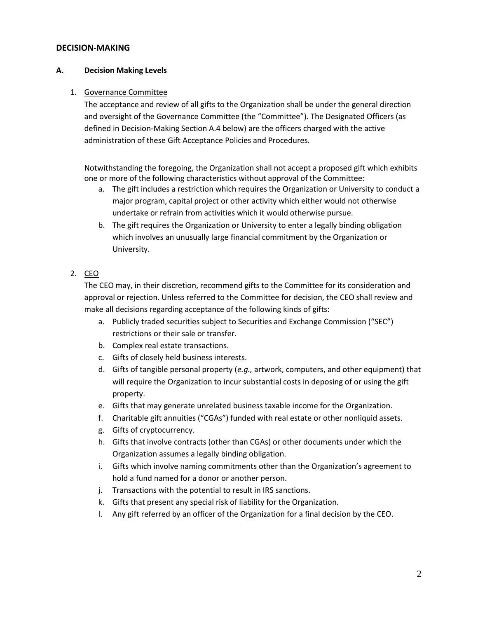#### **DECISION-MAKING**

#### **A. Decision Making Levels**

#### 1. Governance Committee

The acceptance and review of all gifts to the Organization shall be under the general direction and oversight of the Governance Committee (the "Committee"). The Designated Officers (as defined in Decision-Making Section A.4 below) are the officers charged with the active administration of these Gift Acceptance Policies and Procedures.

Notwithstanding the foregoing, the Organization shall not accept a proposed gift which exhibits one or more of the following characteristics without approval of the Committee:

- a. The gift includes a restriction which requires the Organization or University to conduct a major program, capital project or other activity which either would not otherwise undertake or refrain from activities which it would otherwise pursue.
- b. The gift requires the Organization or University to enter a legally binding obligation which involves an unusually large financial commitment by the Organization or University.

#### 2. CEO

The CEO may, in their discretion, recommend gifts to the Committee for its consideration and approval or rejection. Unless referred to the Committee for decision, the CEO shall review and make all decisions regarding acceptance of the following kinds of gifts:

- a. Publicly traded securities subject to Securities and Exchange Commission ("SEC") restrictions or their sale or transfer.
- b. Complex real estate transactions.
- c. Gifts of closely held business interests.
- d. Gifts of tangible personal property (*e.g.,* artwork, computers, and other equipment) that will require the Organization to incur substantial costs in deposing of or using the gift property.
- e. Gifts that may generate unrelated business taxable income for the Organization.
- f. Charitable gift annuities ("CGAs") funded with real estate or other nonliquid assets.
- g. Gifts of cryptocurrency.
- h. Gifts that involve contracts (other than CGAs) or other documents under which the Organization assumes a legally binding obligation.
- i. Gifts which involve naming commitments other than the Organization's agreement to hold a fund named for a donor or another person.
- j. Transactions with the potential to result in IRS sanctions.
- k. Gifts that present any special risk of liability for the Organization.
- l. Any gift referred by an officer of the Organization for a final decision by the CEO.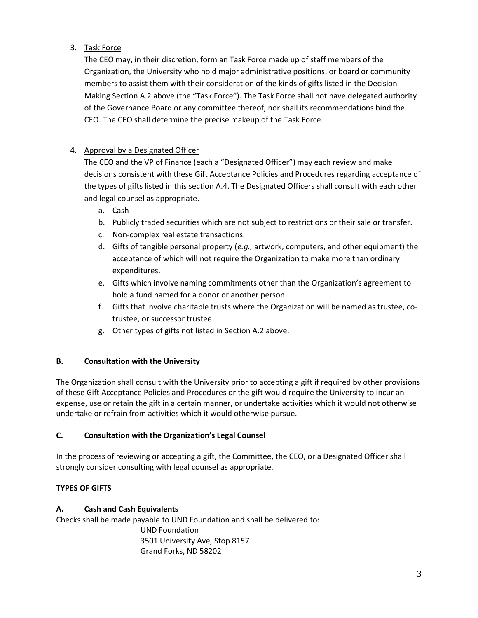## 3. Task Force

The CEO may, in their discretion, form an Task Force made up of staff members of the Organization, the University who hold major administrative positions, or board or community members to assist them with their consideration of the kinds of gifts listed in the Decision-Making Section A.2 above (the "Task Force"). The Task Force shall not have delegated authority of the Governance Board or any committee thereof, nor shall its recommendations bind the CEO. The CEO shall determine the precise makeup of the Task Force.

# 4. Approval by a Designated Officer

The CEO and the VP of Finance (each a "Designated Officer") may each review and make decisions consistent with these Gift Acceptance Policies and Procedures regarding acceptance of the types of gifts listed in this section A.4. The Designated Officers shall consult with each other and legal counsel as appropriate.

- a. Cash
- b. Publicly traded securities which are not subject to restrictions or their sale or transfer.
- c. Non-complex real estate transactions.
- d. Gifts of tangible personal property (*e.g.,* artwork, computers, and other equipment) the acceptance of which will not require the Organization to make more than ordinary expenditures.
- e. Gifts which involve naming commitments other than the Organization's agreement to hold a fund named for a donor or another person.
- f. Gifts that involve charitable trusts where the Organization will be named as trustee, cotrustee, or successor trustee.
- g. Other types of gifts not listed in Section A.2 above.

#### **B. Consultation with the University**

The Organization shall consult with the University prior to accepting a gift if required by other provisions of these Gift Acceptance Policies and Procedures or the gift would require the University to incur an expense, use or retain the gift in a certain manner, or undertake activities which it would not otherwise undertake or refrain from activities which it would otherwise pursue.

#### **C. Consultation with the Organization's Legal Counsel**

In the process of reviewing or accepting a gift, the Committee, the CEO, or a Designated Officer shall strongly consider consulting with legal counsel as appropriate.

## **TYPES OF GIFTS**

#### **A. Cash and Cash Equivalents**

Checks shall be made payable to UND Foundation and shall be delivered to: UND Foundation 3501 University Ave, Stop 8157

Grand Forks, ND 58202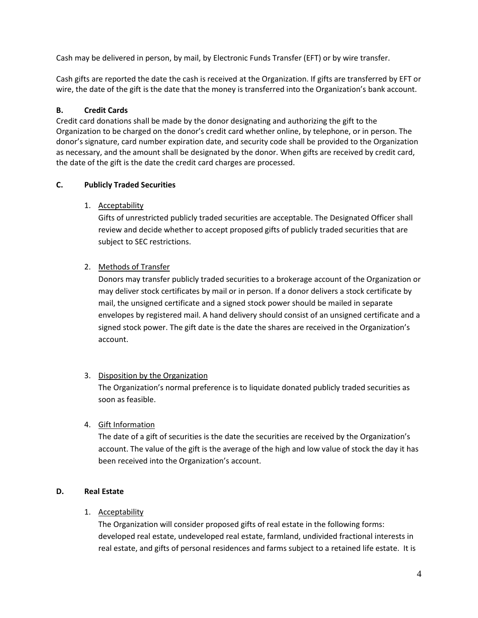Cash may be delivered in person, by mail, by Electronic Funds Transfer (EFT) or by wire transfer.

Cash gifts are reported the date the cash is received at the Organization. If gifts are transferred by EFT or wire, the date of the gift is the date that the money is transferred into the Organization's bank account.

#### **B. Credit Cards**

Credit card donations shall be made by the donor designating and authorizing the gift to the Organization to be charged on the donor's credit card whether online, by telephone, or in person. The donor's signature, card number expiration date, and security code shall be provided to the Organization as necessary, and the amount shall be designated by the donor. When gifts are received by credit card, the date of the gift is the date the credit card charges are processed.

#### **C. Publicly Traded Securities**

1. Acceptability

Gifts of unrestricted publicly traded securities are acceptable. The Designated Officer shall review and decide whether to accept proposed gifts of publicly traded securities that are subject to SEC restrictions.

## 2. Methods of Transfer

Donors may transfer publicly traded securities to a brokerage account of the Organization or may deliver stock certificates by mail or in person. If a donor delivers a stock certificate by mail, the unsigned certificate and a signed stock power should be mailed in separate envelopes by registered mail. A hand delivery should consist of an unsigned certificate and a signed stock power. The gift date is the date the shares are received in the Organization's account.

#### 3. Disposition by the Organization

The Organization's normal preference is to liquidate donated publicly traded securities as soon as feasible.

## 4. Gift Information

The date of a gift of securities is the date the securities are received by the Organization's account. The value of the gift is the average of the high and low value of stock the day it has been received into the Organization's account.

## **D. Real Estate**

#### 1. Acceptability

The Organization will consider proposed gifts of real estate in the following forms: developed real estate, undeveloped real estate, farmland, undivided fractional interests in real estate, and gifts of personal residences and farms subject to a retained life estate. It is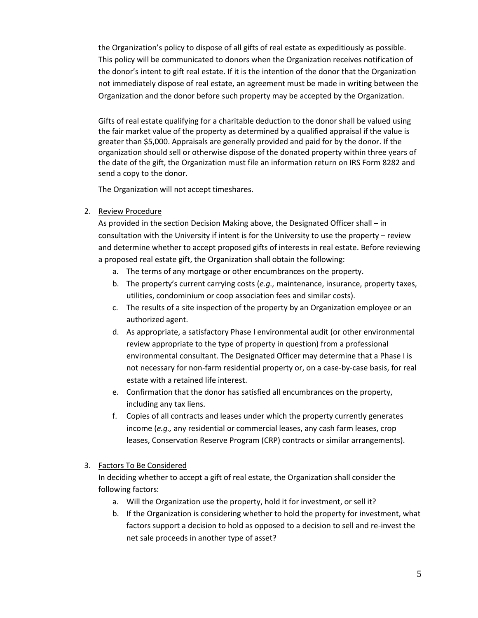the Organization's policy to dispose of all gifts of real estate as expeditiously as possible. This policy will be communicated to donors when the Organization receives notification of the donor's intent to gift real estate. If it is the intention of the donor that the Organization not immediately dispose of real estate, an agreement must be made in writing between the Organization and the donor before such property may be accepted by the Organization.

Gifts of real estate qualifying for a charitable deduction to the donor shall be valued using the fair market value of the property as determined by a qualified appraisal if the value is greater than \$5,000. Appraisals are generally provided and paid for by the donor. If the organization should sell or otherwise dispose of the donated property within three years of the date of the gift, the Organization must file an information return on IRS Form 8282 and send a copy to the donor.

The Organization will not accept timeshares.

2. Review Procedure

As provided in the section Decision Making above, the Designated Officer shall – in consultation with the University if intent is for the University to use the property – review and determine whether to accept proposed gifts of interests in real estate. Before reviewing a proposed real estate gift, the Organization shall obtain the following:

- a. The terms of any mortgage or other encumbrances on the property.
- b. The property's current carrying costs (*e.g.,* maintenance, insurance, property taxes, utilities, condominium or coop association fees and similar costs).
- c. The results of a site inspection of the property by an Organization employee or an authorized agent.
- d. As appropriate, a satisfactory Phase I environmental audit (or other environmental review appropriate to the type of property in question) from a professional environmental consultant. The Designated Officer may determine that a Phase I is not necessary for non-farm residential property or, on a case-by-case basis, for real estate with a retained life interest.
- e. Confirmation that the donor has satisfied all encumbrances on the property, including any tax liens.
- f. Copies of all contracts and leases under which the property currently generates income (*e.g.,* any residential or commercial leases, any cash farm leases, crop leases, Conservation Reserve Program (CRP) contracts or similar arrangements).
- 3. Factors To Be Considered

In deciding whether to accept a gift of real estate, the Organization shall consider the following factors:

- a. Will the Organization use the property, hold it for investment, or sell it?
- b. If the Organization is considering whether to hold the property for investment, what factors support a decision to hold as opposed to a decision to sell and re-invest the net sale proceeds in another type of asset?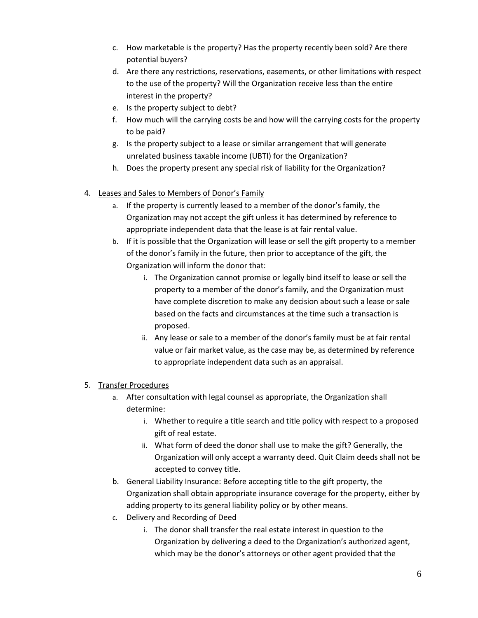- c. How marketable is the property? Has the property recently been sold? Are there potential buyers?
- d. Are there any restrictions, reservations, easements, or other limitations with respect to the use of the property? Will the Organization receive less than the entire interest in the property?
- e. Is the property subject to debt?
- f. How much will the carrying costs be and how will the carrying costs for the property to be paid?
- g. Is the property subject to a lease or similar arrangement that will generate unrelated business taxable income (UBTI) for the Organization?
- h. Does the property present any special risk of liability for the Organization?
- 4. Leases and Sales to Members of Donor's Family
	- a. If the property is currently leased to a member of the donor's family, the Organization may not accept the gift unless it has determined by reference to appropriate independent data that the lease is at fair rental value.
	- b. If it is possible that the Organization will lease or sell the gift property to a member of the donor's family in the future, then prior to acceptance of the gift, the Organization will inform the donor that:
		- i. The Organization cannot promise or legally bind itself to lease or sell the property to a member of the donor's family, and the Organization must have complete discretion to make any decision about such a lease or sale based on the facts and circumstances at the time such a transaction is proposed.
		- ii. Any lease or sale to a member of the donor's family must be at fair rental value or fair market value, as the case may be, as determined by reference to appropriate independent data such as an appraisal.

## 5. Transfer Procedures

- a. After consultation with legal counsel as appropriate, the Organization shall determine:
	- i. Whether to require a title search and title policy with respect to a proposed gift of real estate.
	- ii. What form of deed the donor shall use to make the gift? Generally, the Organization will only accept a warranty deed. Quit Claim deeds shall not be accepted to convey title.
- b. General Liability Insurance: Before accepting title to the gift property, the Organization shall obtain appropriate insurance coverage for the property, either by adding property to its general liability policy or by other means.
- c. Delivery and Recording of Deed
	- i. The donor shall transfer the real estate interest in question to the Organization by delivering a deed to the Organization's authorized agent, which may be the donor's attorneys or other agent provided that the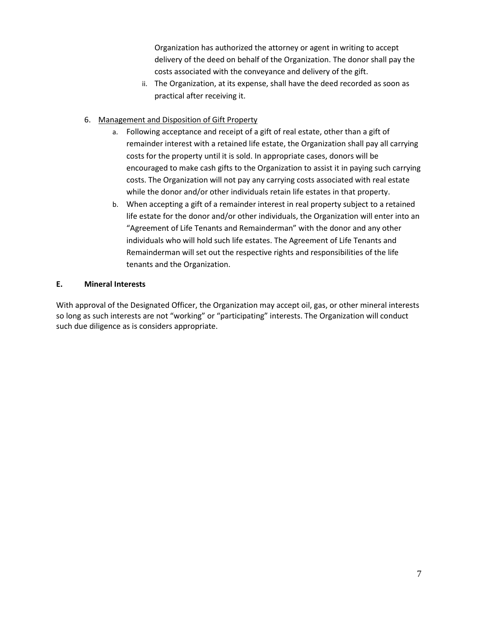Organization has authorized the attorney or agent in writing to accept delivery of the deed on behalf of the Organization. The donor shall pay the costs associated with the conveyance and delivery of the gift.

- ii. The Organization, at its expense, shall have the deed recorded as soon as practical after receiving it.
- 6. Management and Disposition of Gift Property
	- a. Following acceptance and receipt of a gift of real estate, other than a gift of remainder interest with a retained life estate, the Organization shall pay all carrying costs for the property until it is sold. In appropriate cases, donors will be encouraged to make cash gifts to the Organization to assist it in paying such carrying costs. The Organization will not pay any carrying costs associated with real estate while the donor and/or other individuals retain life estates in that property.
	- b. When accepting a gift of a remainder interest in real property subject to a retained life estate for the donor and/or other individuals, the Organization will enter into an "Agreement of Life Tenants and Remainderman" with the donor and any other individuals who will hold such life estates. The Agreement of Life Tenants and Remainderman will set out the respective rights and responsibilities of the life tenants and the Organization.

## **E. Mineral Interests**

With approval of the Designated Officer, the Organization may accept oil, gas, or other mineral interests so long as such interests are not "working" or "participating" interests. The Organization will conduct such due diligence as is considers appropriate.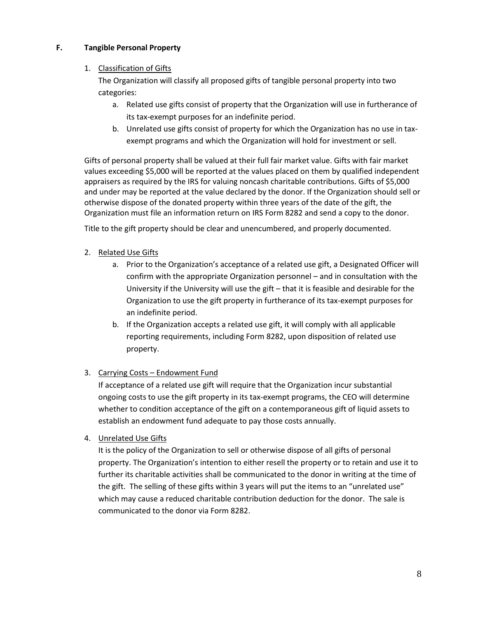#### **F. Tangible Personal Property**

#### 1. Classification of Gifts

The Organization will classify all proposed gifts of tangible personal property into two categories:

- a. Related use gifts consist of property that the Organization will use in furtherance of its tax-exempt purposes for an indefinite period.
- b. Unrelated use gifts consist of property for which the Organization has no use in taxexempt programs and which the Organization will hold for investment or sell.

Gifts of personal property shall be valued at their full fair market value. Gifts with fair market values exceeding \$5,000 will be reported at the values placed on them by qualified independent appraisers as required by the IRS for valuing noncash charitable contributions. Gifts of \$5,000 and under may be reported at the value declared by the donor. If the Organization should sell or otherwise dispose of the donated property within three years of the date of the gift, the Organization must file an information return on IRS Form 8282 and send a copy to the donor.

Title to the gift property should be clear and unencumbered, and properly documented.

- 2. Related Use Gifts
	- a. Prior to the Organization's acceptance of a related use gift, a Designated Officer will confirm with the appropriate Organization personnel – and in consultation with the University if the University will use the gift – that it is feasible and desirable for the Organization to use the gift property in furtherance of its tax-exempt purposes for an indefinite period.
	- b. If the Organization accepts a related use gift, it will comply with all applicable reporting requirements, including Form 8282, upon disposition of related use property.

## 3. Carrying Costs – Endowment Fund

If acceptance of a related use gift will require that the Organization incur substantial ongoing costs to use the gift property in its tax-exempt programs, the CEO will determine whether to condition acceptance of the gift on a contemporaneous gift of liquid assets to establish an endowment fund adequate to pay those costs annually.

4. Unrelated Use Gifts

It is the policy of the Organization to sell or otherwise dispose of all gifts of personal property. The Organization's intention to either resell the property or to retain and use it to further its charitable activities shall be communicated to the donor in writing at the time of the gift. The selling of these gifts within 3 years will put the items to an "unrelated use" which may cause a reduced charitable contribution deduction for the donor. The sale is communicated to the donor via Form 8282.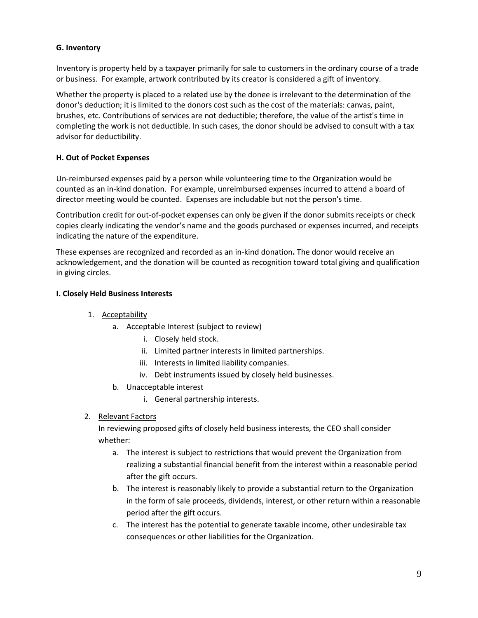#### **G. Inventory**

Inventory is property held by a taxpayer primarily for sale to customers in the ordinary course of a trade or business. For example, artwork contributed by its creator is considered a gift of inventory.

Whether the property is placed to a related use by the donee is irrelevant to the determination of the donor's deduction; it is limited to the donors cost such as the cost of the materials: canvas, paint, brushes, etc. Contributions of services are not deductible; therefore, the value of the artist's time in completing the work is not deductible. In such cases, the donor should be advised to consult with a tax advisor for deductibility.

#### **H. Out of Pocket Expenses**

Un-reimbursed expenses paid by a person while volunteering time to the Organization would be counted as an in-kind donation. For example, unreimbursed expenses incurred to attend a board of director meeting would be counted. Expenses are includable but not the person's time.

Contribution credit for out-of-pocket expenses can only be given if the donor submits receipts or check copies clearly indicating the vendor's name and the goods purchased or expenses incurred, and receipts indicating the nature of the expenditure.

These expenses are recognized and recorded as an in-kind donation**.** The donor would receive an acknowledgement, and the donation will be counted as recognition toward total giving and qualification in giving circles.

#### **I. Closely Held Business Interests**

- 1. Acceptability
	- a. Acceptable Interest (subject to review)
		- i. Closely held stock.
		- ii. Limited partner interests in limited partnerships.
		- iii. Interests in limited liability companies.
		- iv. Debt instruments issued by closely held businesses.
	- b. Unacceptable interest
		- i. General partnership interests.
- 2. Relevant Factors

In reviewing proposed gifts of closely held business interests, the CEO shall consider whether:

- a. The interest is subject to restrictions that would prevent the Organization from realizing a substantial financial benefit from the interest within a reasonable period after the gift occurs.
- b. The interest is reasonably likely to provide a substantial return to the Organization in the form of sale proceeds, dividends, interest, or other return within a reasonable period after the gift occurs.
- c. The interest has the potential to generate taxable income, other undesirable tax consequences or other liabilities for the Organization.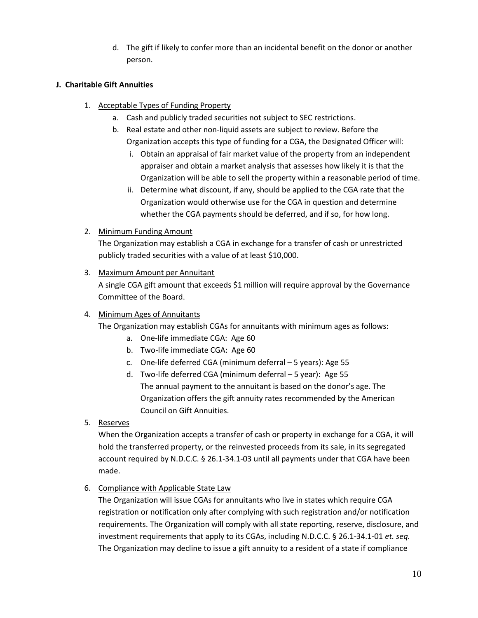d. The gift if likely to confer more than an incidental benefit on the donor or another person.

#### **J. Charitable Gift Annuities**

- 1. Acceptable Types of Funding Property
	- a. Cash and publicly traded securities not subject to SEC restrictions.
	- b. Real estate and other non-liquid assets are subject to review. Before the Organization accepts this type of funding for a CGA, the Designated Officer will:
		- i. Obtain an appraisal of fair market value of the property from an independent appraiser and obtain a market analysis that assesses how likely it is that the Organization will be able to sell the property within a reasonable period of time.
		- ii. Determine what discount, if any, should be applied to the CGA rate that the Organization would otherwise use for the CGA in question and determine whether the CGA payments should be deferred, and if so, for how long.
- 2. Minimum Funding Amount

The Organization may establish a CGA in exchange for a transfer of cash or unrestricted publicly traded securities with a value of at least \$10,000.

3. Maximum Amount per Annuitant

A single CGA gift amount that exceeds \$1 million will require approval by the Governance Committee of the Board.

#### 4. Minimum Ages of Annuitants

The Organization may establish CGAs for annuitants with minimum ages as follows:

- a. One-life immediate CGA: Age 60
- b. Two-life immediate CGA: Age 60
- c. One-life deferred CGA (minimum deferral 5 years): Age 55
- d. Two-life deferred CGA (minimum deferral 5 year): Age 55 The annual payment to the annuitant is based on the donor's age. The Organization offers the gift annuity rates recommended by the American Council on Gift Annuities.
- 5. Reserves

When the Organization accepts a transfer of cash or property in exchange for a CGA, it will hold the transferred property, or the reinvested proceeds from its sale, in its segregated account required by N.D.C.C. § 26.1-34.1-03 until all payments under that CGA have been made.

## 6. Compliance with Applicable State Law

The Organization will issue CGAs for annuitants who live in states which require CGA registration or notification only after complying with such registration and/or notification requirements. The Organization will comply with all state reporting, reserve, disclosure, and investment requirements that apply to its CGAs, including N.D.C.C. § 26.1-34.1-01 *et. seq.*  The Organization may decline to issue a gift annuity to a resident of a state if compliance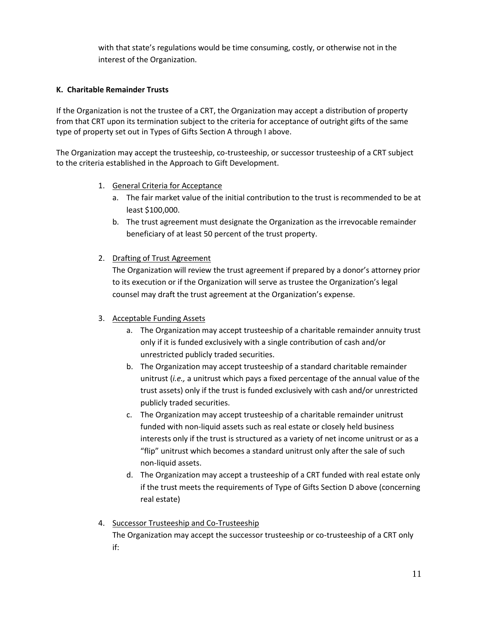with that state's regulations would be time consuming, costly, or otherwise not in the interest of the Organization.

#### **K. Charitable Remainder Trusts**

If the Organization is not the trustee of a CRT, the Organization may accept a distribution of property from that CRT upon its termination subject to the criteria for acceptance of outright gifts of the same type of property set out in Types of Gifts Section A through I above.

The Organization may accept the trusteeship, co-trusteeship, or successor trusteeship of a CRT subject to the criteria established in the Approach to Gift Development.

- 1. General Criteria for Acceptance
	- a. The fair market value of the initial contribution to the trust is recommended to be at least \$100,000.
	- b. The trust agreement must designate the Organization as the irrevocable remainder beneficiary of at least 50 percent of the trust property.

#### 2. Drafting of Trust Agreement

The Organization will review the trust agreement if prepared by a donor's attorney prior to its execution or if the Organization will serve as trustee the Organization's legal counsel may draft the trust agreement at the Organization's expense.

## 3. Acceptable Funding Assets

- a. The Organization may accept trusteeship of a charitable remainder annuity trust only if it is funded exclusively with a single contribution of cash and/or unrestricted publicly traded securities.
- b. The Organization may accept trusteeship of a standard charitable remainder unitrust (*i.e.,* a unitrust which pays a fixed percentage of the annual value of the trust assets) only if the trust is funded exclusively with cash and/or unrestricted publicly traded securities.
- c. The Organization may accept trusteeship of a charitable remainder unitrust funded with non-liquid assets such as real estate or closely held business interests only if the trust is structured as a variety of net income unitrust or as a "flip" unitrust which becomes a standard unitrust only after the sale of such non-liquid assets.
- d. The Organization may accept a trusteeship of a CRT funded with real estate only if the trust meets the requirements of Type of Gifts Section D above (concerning real estate)

# 4. Successor Trusteeship and Co-Trusteeship

The Organization may accept the successor trusteeship or co-trusteeship of a CRT only if: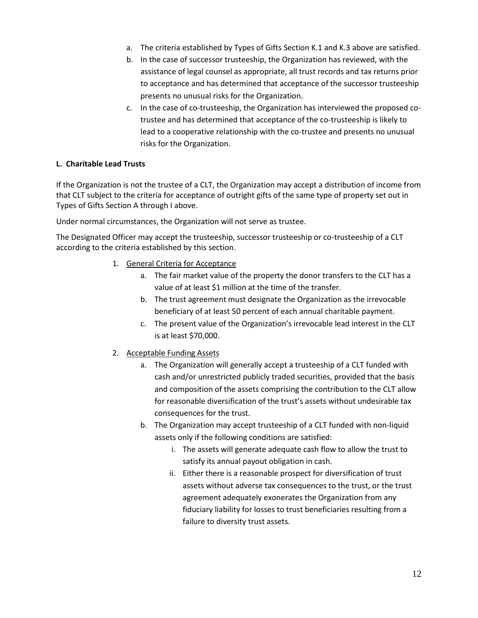- a. The criteria established by Types of Gifts Section K.1 and K.3 above are satisfied.
- b. In the case of successor trusteeship, the Organization has reviewed, with the assistance of legal counsel as appropriate, all trust records and tax returns prior to acceptance and has determined that acceptance of the successor trusteeship presents no unusual risks for the Organization.
- c. In the case of co-trusteeship, the Organization has interviewed the proposed cotrustee and has determined that acceptance of the co-trusteeship is likely to lead to a cooperative relationship with the co-trustee and presents no unusual risks for the Organization.

#### **L. Charitable Lead Trusts**

If the Organization is not the trustee of a CLT, the Organization may accept a distribution of income from that CLT subject to the criteria for acceptance of outright gifts of the same type of property set out in Types of Gifts Section A through I above.

Under normal circumstances, the Organization will not serve as trustee.

The Designated Officer may accept the trusteeship, successor trusteeship or co-trusteeship of a CLT according to the criteria established by this section.

- 1. General Criteria for Acceptance
	- a. The fair market value of the property the donor transfers to the CLT has a value of at least \$1 million at the time of the transfer.
	- b. The trust agreement must designate the Organization as the irrevocable beneficiary of at least 50 percent of each annual charitable payment.
	- c. The present value of the Organization's irrevocable lead interest in the CLT is at least \$70,000.
- 2. Acceptable Funding Assets
	- a. The Organization will generally accept a trusteeship of a CLT funded with cash and/or unrestricted publicly traded securities, provided that the basis and composition of the assets comprising the contribution to the CLT allow for reasonable diversification of the trust's assets without undesirable tax consequences for the trust.
	- b. The Organization may accept trusteeship of a CLT funded with non-liquid assets only if the following conditions are satisfied:
		- i. The assets will generate adequate cash flow to allow the trust to satisfy its annual payout obligation in cash.
		- ii. Either there is a reasonable prospect for diversification of trust assets without adverse tax consequences to the trust, or the trust agreement adequately exonerates the Organization from any fiduciary liability for losses to trust beneficiaries resulting from a failure to diversity trust assets.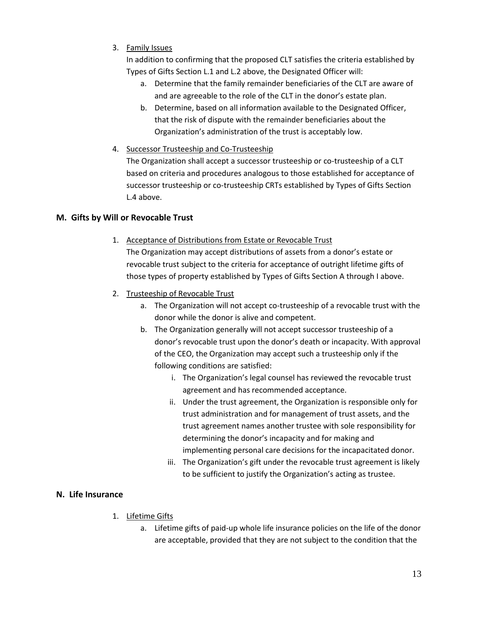3. Family Issues

In addition to confirming that the proposed CLT satisfies the criteria established by Types of Gifts Section L.1 and L.2 above, the Designated Officer will:

- a. Determine that the family remainder beneficiaries of the CLT are aware of and are agreeable to the role of the CLT in the donor's estate plan.
- b. Determine, based on all information available to the Designated Officer, that the risk of dispute with the remainder beneficiaries about the Organization's administration of the trust is acceptably low.
- 4. Successor Trusteeship and Co-Trusteeship

The Organization shall accept a successor trusteeship or co-trusteeship of a CLT based on criteria and procedures analogous to those established for acceptance of successor trusteeship or co-trusteeship CRTs established by Types of Gifts Section L.4 above.

## **M. Gifts by Will or Revocable Trust**

- 1. Acceptance of Distributions from Estate or Revocable Trust The Organization may accept distributions of assets from a donor's estate or revocable trust subject to the criteria for acceptance of outright lifetime gifts of those types of property established by Types of Gifts Section A through I above.
- 2. Trusteeship of Revocable Trust
	- a. The Organization will not accept co-trusteeship of a revocable trust with the donor while the donor is alive and competent.
	- b. The Organization generally will not accept successor trusteeship of a donor's revocable trust upon the donor's death or incapacity. With approval of the CEO, the Organization may accept such a trusteeship only if the following conditions are satisfied:
		- i. The Organization's legal counsel has reviewed the revocable trust agreement and has recommended acceptance.
		- ii. Under the trust agreement, the Organization is responsible only for trust administration and for management of trust assets, and the trust agreement names another trustee with sole responsibility for determining the donor's incapacity and for making and implementing personal care decisions for the incapacitated donor.
		- iii. The Organization's gift under the revocable trust agreement is likely to be sufficient to justify the Organization's acting as trustee.

#### **N. Life Insurance**

- 1. Lifetime Gifts
	- a. Lifetime gifts of paid-up whole life insurance policies on the life of the donor are acceptable, provided that they are not subject to the condition that the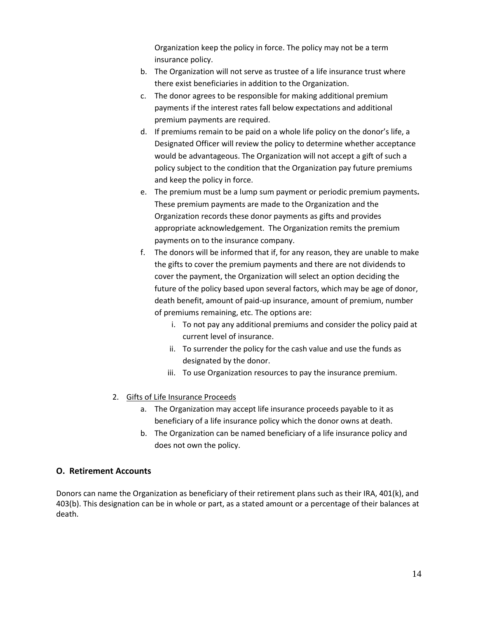Organization keep the policy in force. The policy may not be a term insurance policy.

- b. The Organization will not serve as trustee of a life insurance trust where there exist beneficiaries in addition to the Organization.
- c. The donor agrees to be responsible for making additional premium payments if the interest rates fall below expectations and additional premium payments are required.
- d. If premiums remain to be paid on a whole life policy on the donor's life, a Designated Officer will review the policy to determine whether acceptance would be advantageous. The Organization will not accept a gift of such a policy subject to the condition that the Organization pay future premiums and keep the policy in force.
- e. The premium must be a lump sum payment or periodic premium payments**.**  These premium payments are made to the Organization and the Organization records these donor payments as gifts and provides appropriate acknowledgement. The Organization remits the premium payments on to the insurance company.
- f. The donors will be informed that if, for any reason, they are unable to make the gifts to cover the premium payments and there are not dividends to cover the payment, the Organization will select an option deciding the future of the policy based upon several factors, which may be age of donor, death benefit, amount of paid-up insurance, amount of premium, number of premiums remaining, etc. The options are:
	- i. To not pay any additional premiums and consider the policy paid at current level of insurance.
	- ii. To surrender the policy for the cash value and use the funds as designated by the donor.
	- iii. To use Organization resources to pay the insurance premium.
- 2. Gifts of Life Insurance Proceeds
	- a. The Organization may accept life insurance proceeds payable to it as beneficiary of a life insurance policy which the donor owns at death.
	- b. The Organization can be named beneficiary of a life insurance policy and does not own the policy.

#### **O. Retirement Accounts**

Donors can name the Organization as beneficiary of their retirement plans such as their IRA, 401(k), and 403(b). This designation can be in whole or part, as a stated amount or a percentage of their balances at death.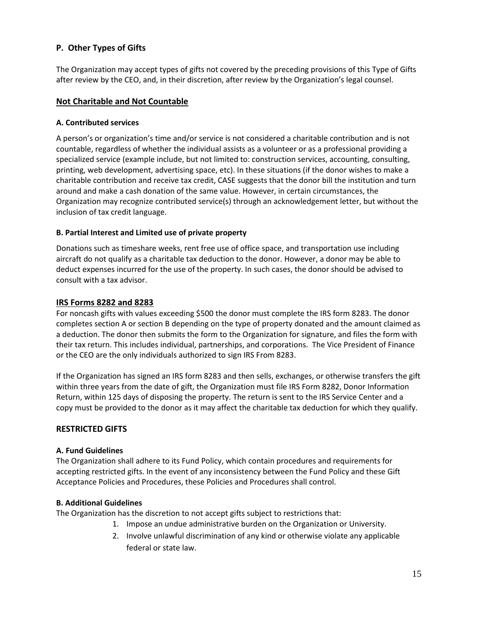#### **P. Other Types of Gifts**

The Organization may accept types of gifts not covered by the preceding provisions of this Type of Gifts after review by the CEO, and, in their discretion, after review by the Organization's legal counsel.

#### **Not Charitable and Not Countable**

#### **A. Contributed services**

A person's or organization's time and/or service is not considered a charitable contribution and is not countable, regardless of whether the individual assists as a volunteer or as a professional providing a specialized service (example include, but not limited to: construction services, accounting, consulting, printing, web development, advertising space, etc). In these situations (if the donor wishes to make a charitable contribution and receive tax credit, CASE suggests that the donor bill the institution and turn around and make a cash donation of the same value. However, in certain circumstances, the Organization may recognize contributed service(s) through an acknowledgement letter, but without the inclusion of tax credit language.

#### **B. Partial Interest and Limited use of private property**

Donations such as timeshare weeks, rent free use of office space, and transportation use including aircraft do not qualify as a charitable tax deduction to the donor. However, a donor may be able to deduct expenses incurred for the use of the property. In such cases, the donor should be advised to consult with a tax advisor.

#### **IRS Forms 8282 and 8283**

For noncash gifts with values exceeding \$500 the donor must complete the IRS form 8283. The donor completes section A or section B depending on the type of property donated and the amount claimed as a deduction. The donor then submits the form to the Organization for signature, and files the form with their tax return. This includes individual, partnerships, and corporations. The Vice President of Finance or the CEO are the only individuals authorized to sign IRS From 8283.

If the Organization has signed an IRS form 8283 and then sells, exchanges, or otherwise transfers the gift within three years from the date of gift, the Organization must file IRS Form 8282, Donor Information Return, within 125 days of disposing the property. The return is sent to the IRS Service Center and a copy must be provided to the donor as it may affect the charitable tax deduction for which they qualify.

#### **RESTRICTED GIFTS**

#### **A. Fund Guidelines**

The Organization shall adhere to its Fund Policy, which contain procedures and requirements for accepting restricted gifts. In the event of any inconsistency between the Fund Policy and these Gift Acceptance Policies and Procedures, these Policies and Procedures shall control.

#### **B. Additional Guidelines**

The Organization has the discretion to not accept gifts subject to restrictions that:

- 1. Impose an undue administrative burden on the Organization or University.
	- 2. Involve unlawful discrimination of any kind or otherwise violate any applicable federal or state law.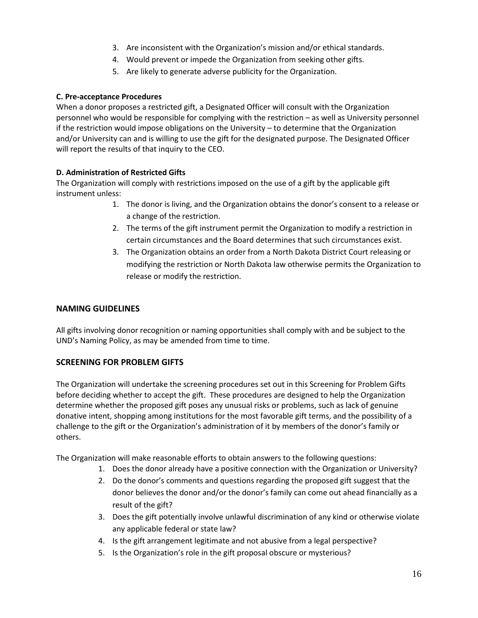- 3. Are inconsistent with the Organization's mission and/or ethical standards.
- 4. Would prevent or impede the Organization from seeking other gifts.
- 5. Are likely to generate adverse publicity for the Organization.

#### **C. Pre-acceptance Procedures**

When a donor proposes a restricted gift, a Designated Officer will consult with the Organization personnel who would be responsible for complying with the restriction – as well as University personnel if the restriction would impose obligations on the University – to determine that the Organization and/or University can and is willing to use the gift for the designated purpose. The Designated Officer will report the results of that inquiry to the CEO.

#### **D. Administration of Restricted Gifts**

The Organization will comply with restrictions imposed on the use of a gift by the applicable gift instrument unless:

- 1. The donor is living, and the Organization obtains the donor's consent to a release or a change of the restriction.
- 2. The terms of the gift instrument permit the Organization to modify a restriction in certain circumstances and the Board determines that such circumstances exist.
- 3. The Organization obtains an order from a North Dakota District Court releasing or modifying the restriction or North Dakota law otherwise permits the Organization to release or modify the restriction.

## **NAMING GUIDELINES**

All gifts involving donor recognition or naming opportunities shall comply with and be subject to the UND's Naming Policy, as may be amended from time to time.

## **SCREENING FOR PROBLEM GIFTS**

The Organization will undertake the screening procedures set out in this Screening for Problem Gifts before deciding whether to accept the gift. These procedures are designed to help the Organization determine whether the proposed gift poses any unusual risks or problems, such as lack of genuine donative intent, shopping among institutions for the most favorable gift terms, and the possibility of a challenge to the gift or the Organization's administration of it by members of the donor's family or others.

The Organization will make reasonable efforts to obtain answers to the following questions:

- 1. Does the donor already have a positive connection with the Organization or University?
- 2. Do the donor's comments and questions regarding the proposed gift suggest that the donor believes the donor and/or the donor's family can come out ahead financially as a result of the gift?
- 3. Does the gift potentially involve unlawful discrimination of any kind or otherwise violate any applicable federal or state law?
- 4. Is the gift arrangement legitimate and not abusive from a legal perspective?
- 5. Is the Organization's role in the gift proposal obscure or mysterious?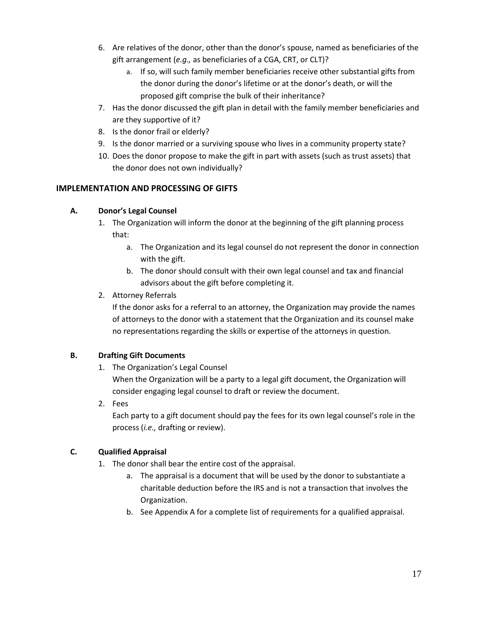- 6. Are relatives of the donor, other than the donor's spouse, named as beneficiaries of the gift arrangement (*e.g.,* as beneficiaries of a CGA, CRT, or CLT)?
	- a. If so, will such family member beneficiaries receive other substantial gifts from the donor during the donor's lifetime or at the donor's death, or will the proposed gift comprise the bulk of their inheritance?
- 7. Has the donor discussed the gift plan in detail with the family member beneficiaries and are they supportive of it?
- 8. Is the donor frail or elderly?
- 9. Is the donor married or a surviving spouse who lives in a community property state?
- 10. Does the donor propose to make the gift in part with assets (such as trust assets) that the donor does not own individually?

## **IMPLEMENTATION AND PROCESSING OF GIFTS**

## **A. Donor's Legal Counsel**

- 1. The Organization will inform the donor at the beginning of the gift planning process that:
	- a. The Organization and its legal counsel do not represent the donor in connection with the gift.
	- b. The donor should consult with their own legal counsel and tax and financial advisors about the gift before completing it.
- 2. Attorney Referrals

If the donor asks for a referral to an attorney, the Organization may provide the names of attorneys to the donor with a statement that the Organization and its counsel make no representations regarding the skills or expertise of the attorneys in question.

## **B. Drafting Gift Documents**

1. The Organization's Legal Counsel

When the Organization will be a party to a legal gift document, the Organization will consider engaging legal counsel to draft or review the document.

2. Fees

Each party to a gift document should pay the fees for its own legal counsel's role in the process (*i.e.,* drafting or review).

## **C. Qualified Appraisal**

- 1. The donor shall bear the entire cost of the appraisal.
	- a. The appraisal is a document that will be used by the donor to substantiate a charitable deduction before the IRS and is not a transaction that involves the Organization.
	- b. See Appendix A for a complete list of requirements for a qualified appraisal.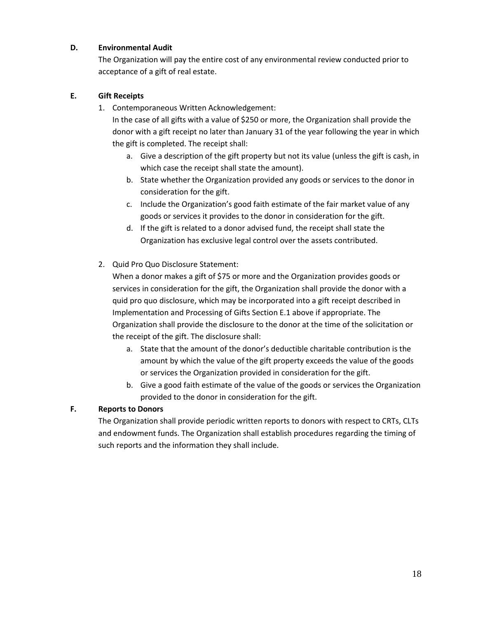#### **D. Environmental Audit**

The Organization will pay the entire cost of any environmental review conducted prior to acceptance of a gift of real estate.

#### **E. Gift Receipts**

1. Contemporaneous Written Acknowledgement:

In the case of all gifts with a value of \$250 or more, the Organization shall provide the donor with a gift receipt no later than January 31 of the year following the year in which the gift is completed. The receipt shall:

- a. Give a description of the gift property but not its value (unless the gift is cash, in which case the receipt shall state the amount).
- b. State whether the Organization provided any goods or services to the donor in consideration for the gift.
- c. Include the Organization's good faith estimate of the fair market value of any goods or services it provides to the donor in consideration for the gift.
- d. If the gift is related to a donor advised fund, the receipt shall state the Organization has exclusive legal control over the assets contributed.
- 2. Quid Pro Quo Disclosure Statement:

When a donor makes a gift of \$75 or more and the Organization provides goods or services in consideration for the gift, the Organization shall provide the donor with a quid pro quo disclosure, which may be incorporated into a gift receipt described in Implementation and Processing of Gifts Section E.1 above if appropriate. The Organization shall provide the disclosure to the donor at the time of the solicitation or the receipt of the gift. The disclosure shall:

- a. State that the amount of the donor's deductible charitable contribution is the amount by which the value of the gift property exceeds the value of the goods or services the Organization provided in consideration for the gift.
- b. Give a good faith estimate of the value of the goods or services the Organization provided to the donor in consideration for the gift.

## **F. Reports to Donors**

The Organization shall provide periodic written reports to donors with respect to CRTs, CLTs and endowment funds. The Organization shall establish procedures regarding the timing of such reports and the information they shall include.